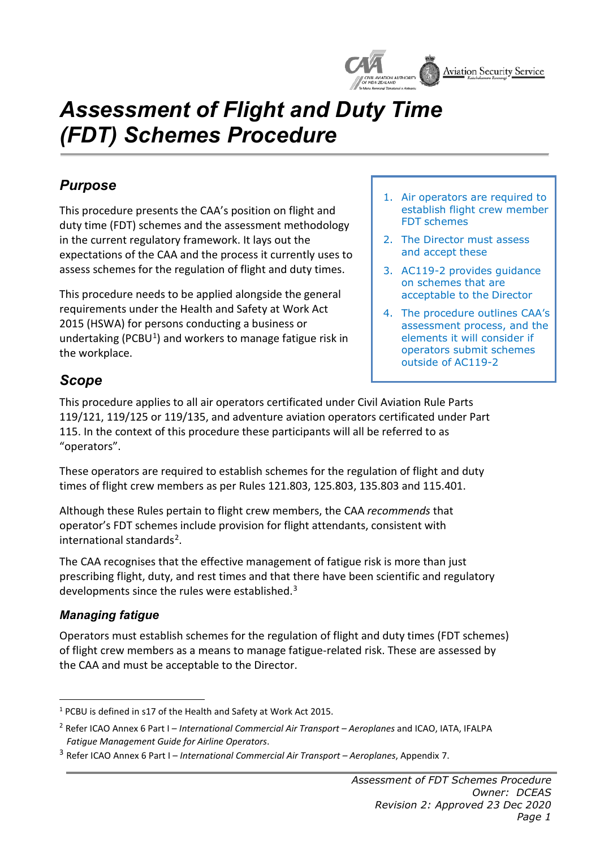

# *Assessment of Flight and Duty Time (FDT) Schemes Procedure*

## *Purpose*

This procedure presents the CAA's position on flight and duty time (FDT) schemes and the assessment methodology in the current regulatory framework. It lays out the expectations of the CAA and the process it currently uses to assess schemes for the regulation of flight and duty times.

This procedure needs to be applied alongside the general requirements under the Health and Safety at Work Act 2015 (HSWA) for persons conducting a business or undertaking (PCBU<sup>1</sup>) and workers to manage fatigue risk in the workplace.

- 1. Air operators are required to establish flight crew member FDT schemes
- 2. The Director must assess and accept these
- 3. AC119-2 provides guidance on schemes that are acceptable to the Director
- 4. The procedure outlines CAA's assessment process, and the elements it will consider if operators submit schemes outside of AC119-2

## *Scope*

This procedure applies to all air operators certificated under Civil Aviation Rule Parts 119/121, 119/125 or 119/135, and adventure aviation operators certificated under Part 115. In the context of this procedure these participants will all be referred to as "operators".

These operators are required to establish schemes for the regulation of flight and duty times of flight crew members as per Rules 121.803, 125.803, 135.803 and 115.401.

Although these Rules pertain to flight crew members, the CAA *recommends* that operator's FDT schemes include provision for flight attendants, consistent with international standards[2.](#page-0-1)

The CAA recognises that the effective management of fatigue risk is more than just prescribing flight, duty, and rest times and that there have been scientific and regulatory developments since the rules were established.<sup>[3](#page-0-2)</sup>

#### *Managing fatigue*

Operators must establish schemes for the regulation of flight and duty times (FDT schemes) of flight crew members as a means to manage fatigue-related risk. These are assessed by the CAA and must be acceptable to the Director.

<span id="page-0-0"></span><sup>1</sup> PCBU is defined in s17 of the Health and Safety at Work Act 2015.

<span id="page-0-1"></span><sup>2</sup> Refer ICAO Annex 6 Part I – *International Commercial Air Transport – Aeroplanes* and ICAO, IATA, IFALPA *Fatigue Management Guide for Airline Operators*.

<span id="page-0-2"></span><sup>3</sup> Refer ICAO Annex 6 Part I – *International Commercial Air Transport – Aeroplanes*, Appendix 7.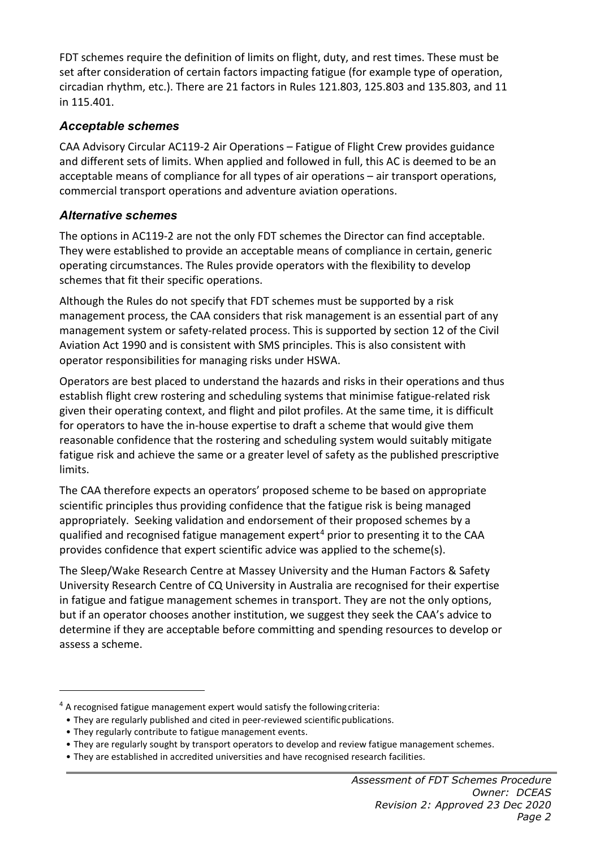FDT schemes require the definition of limits on flight, duty, and rest times. These must be set after consideration of certain factors impacting fatigue (for example type of operation, circadian rhythm, etc.). There are 21 factors in Rules 121.803, 125.803 and 135.803, and 11 in 115.401.

#### *Acceptable schemes*

CAA Advisory Circular AC119-2 Air Operations – Fatigue of Flight Crew provides guidance and different sets of limits. When applied and followed in full, this AC is deemed to be an acceptable means of compliance for all types of air operations – air transport operations, commercial transport operations and adventure aviation operations.

#### *Alternative schemes*

The options in AC119-2 are not the only FDT schemes the Director can find acceptable. They were established to provide an acceptable means of compliance in certain, generic operating circumstances. The Rules provide operators with the flexibility to develop schemes that fit their specific operations.

Although the Rules do not specify that FDT schemes must be supported by a risk management process, the CAA considers that risk management is an essential part of any management system or safety-related process. This is supported by section 12 of the Civil Aviation Act 1990 and is consistent with SMS principles. This is also consistent with operator responsibilities for managing risks under HSWA.

Operators are best placed to understand the hazards and risks in their operations and thus establish flight crew rostering and scheduling systems that minimise fatigue-related risk given their operating context, and flight and pilot profiles. At the same time, it is difficult for operators to have the in-house expertise to draft a scheme that would give them reasonable confidence that the rostering and scheduling system would suitably mitigate fatigue risk and achieve the same or a greater level of safety as the published prescriptive limits.

The CAA therefore expects an operators' proposed scheme to be based on appropriate scientific principles thus providing confidence that the fatigue risk is being managed appropriately. Seeking validation and endorsement of their proposed schemes by a qualified and recognised fatigue management expert<sup>[4](#page-1-0)</sup> prior to presenting it to the CAA provides confidence that expert scientific advice was applied to the scheme(s).

The Sleep/Wake Research Centre at Massey University and the Human Factors & Safety University Research Centre of CQ University in Australia are recognised for their expertise in fatigue and fatigue management schemes in transport. They are not the only options, but if an operator chooses another institution, we suggest they seek the CAA's advice to determine if they are acceptable before committing and spending resources to develop or assess a scheme.

<span id="page-1-0"></span> $4$  A recognised fatigue management expert would satisfy the following criteria:

<sup>•</sup> They are regularly published and cited in peer-reviewed scientificpublications.

<sup>•</sup> They regularly contribute to fatigue management events.

<sup>•</sup> They are regularly sought by transport operators to develop and review fatigue management schemes.

<sup>•</sup> They are established in accredited universities and have recognised research facilities.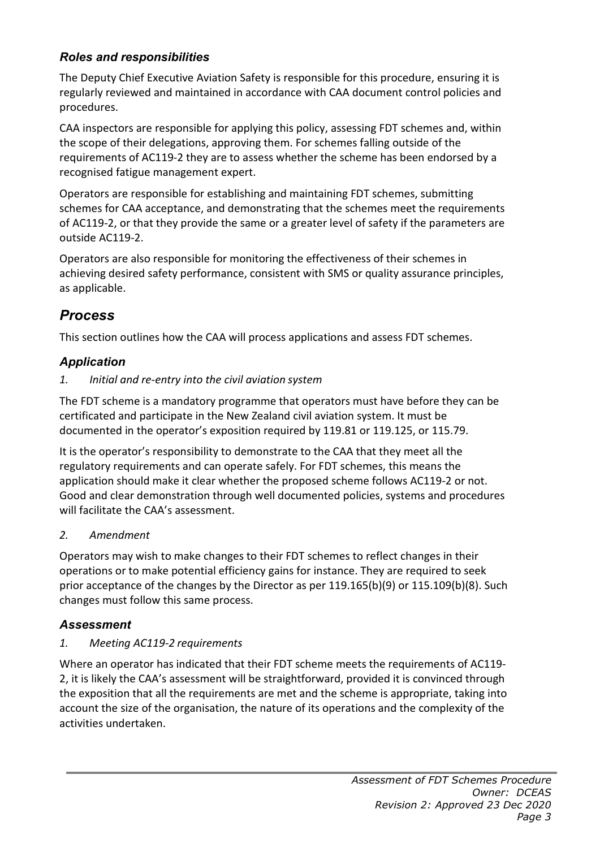### *Roles and responsibilities*

The Deputy Chief Executive Aviation Safety is responsible for this procedure, ensuring it is regularly reviewed and maintained in accordance with CAA document control policies and procedures.

CAA inspectors are responsible for applying this policy, assessing FDT schemes and, within the scope of their delegations, approving them. For schemes falling outside of the requirements of AC119-2 they are to assess whether the scheme has been endorsed by a recognised fatigue management expert.

Operators are responsible for establishing and maintaining FDT schemes, submitting schemes for CAA acceptance, and demonstrating that the schemes meet the requirements of AC119-2, or that they provide the same or a greater level of safety if the parameters are outside AC119-2.

Operators are also responsible for monitoring the effectiveness of their schemes in achieving desired safety performance, consistent with SMS or quality assurance principles, as applicable.

## *Process*

This section outlines how the CAA will process applications and assess FDT schemes.

## *Application*

#### *1. Initial and re-entry into the civil aviation system*

The FDT scheme is a mandatory programme that operators must have before they can be certificated and participate in the New Zealand civil aviation system. It must be documented in the operator's exposition required by 119.81 or 119.125, or 115.79.

It is the operator's responsibility to demonstrate to the CAA that they meet all the regulatory requirements and can operate safely. For FDT schemes, this means the application should make it clear whether the proposed scheme follows AC119-2 or not. Good and clear demonstration through well documented policies, systems and procedures will facilitate the CAA's assessment.

#### *2. Amendment*

Operators may wish to make changes to their FDT schemes to reflect changes in their operations or to make potential efficiency gains for instance. They are required to seek prior acceptance of the changes by the Director as per 119.165(b)(9) or 115.109(b)(8). Such changes must follow this same process.

## *Assessment*

#### *1. Meeting AC119-2 requirements*

Where an operator has indicated that their FDT scheme meets the requirements of AC119- 2, it is likely the CAA's assessment will be straightforward, provided it is convinced through the exposition that all the requirements are met and the scheme is appropriate, taking into account the size of the organisation, the nature of its operations and the complexity of the activities undertaken.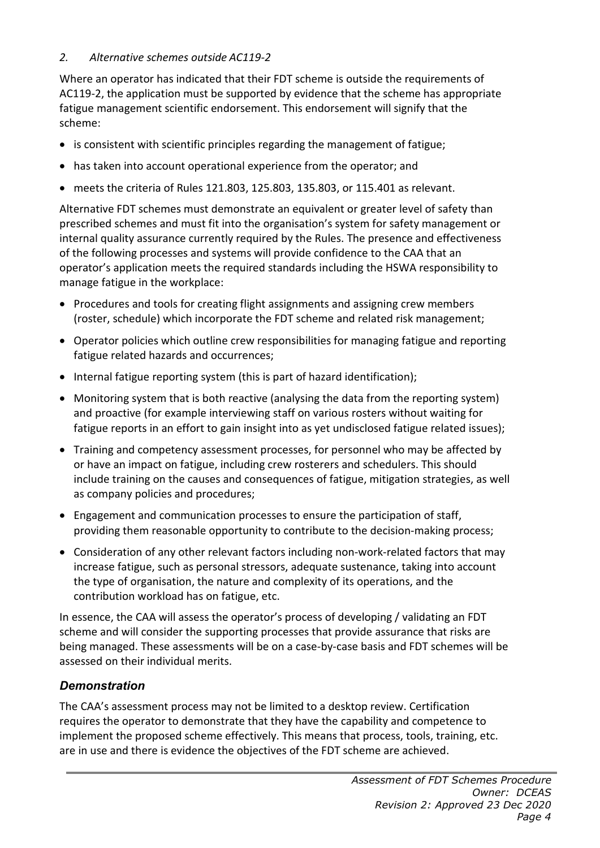#### *2. Alternative schemes outside AC119-2*

Where an operator has indicated that their FDT scheme is outside the requirements of AC119-2, the application must be supported by evidence that the scheme has appropriate fatigue management scientific endorsement. This endorsement will signify that the scheme:

- is consistent with scientific principles regarding the management of fatigue;
- has taken into account operational experience from the operator; and
- meets the criteria of Rules 121.803, 125.803, 135.803, or 115.401 as relevant.

Alternative FDT schemes must demonstrate an equivalent or greater level of safety than prescribed schemes and must fit into the organisation's system for safety management or internal quality assurance currently required by the Rules. The presence and effectiveness of the following processes and systems will provide confidence to the CAA that an operator's application meets the required standards including the HSWA responsibility to manage fatigue in the workplace:

- Procedures and tools for creating flight assignments and assigning crew members (roster, schedule) which incorporate the FDT scheme and related risk management;
- Operator policies which outline crew responsibilities for managing fatigue and reporting fatigue related hazards and occurrences;
- Internal fatigue reporting system (this is part of hazard identification);
- Monitoring system that is both reactive (analysing the data from the reporting system) and proactive (for example interviewing staff on various rosters without waiting for fatigue reports in an effort to gain insight into as yet undisclosed fatigue related issues);
- Training and competency assessment processes, for personnel who may be affected by or have an impact on fatigue, including crew rosterers and schedulers. This should include training on the causes and consequences of fatigue, mitigation strategies, as well as company policies and procedures;
- Engagement and communication processes to ensure the participation of staff, providing them reasonable opportunity to contribute to the decision-making process;
- Consideration of any other relevant factors including non-work-related factors that may increase fatigue, such as personal stressors, adequate sustenance, taking into account the type of organisation, the nature and complexity of its operations, and the contribution workload has on fatigue, etc.

In essence, the CAA will assess the operator's process of developing / validating an FDT scheme and will consider the supporting processes that provide assurance that risks are being managed. These assessments will be on a case-by-case basis and FDT schemes will be assessed on their individual merits.

#### *Demonstration*

The CAA's assessment process may not be limited to a desktop review. Certification requires the operator to demonstrate that they have the capability and competence to implement the proposed scheme effectively. This means that process, tools, training, etc. are in use and there is evidence the objectives of the FDT scheme are achieved.